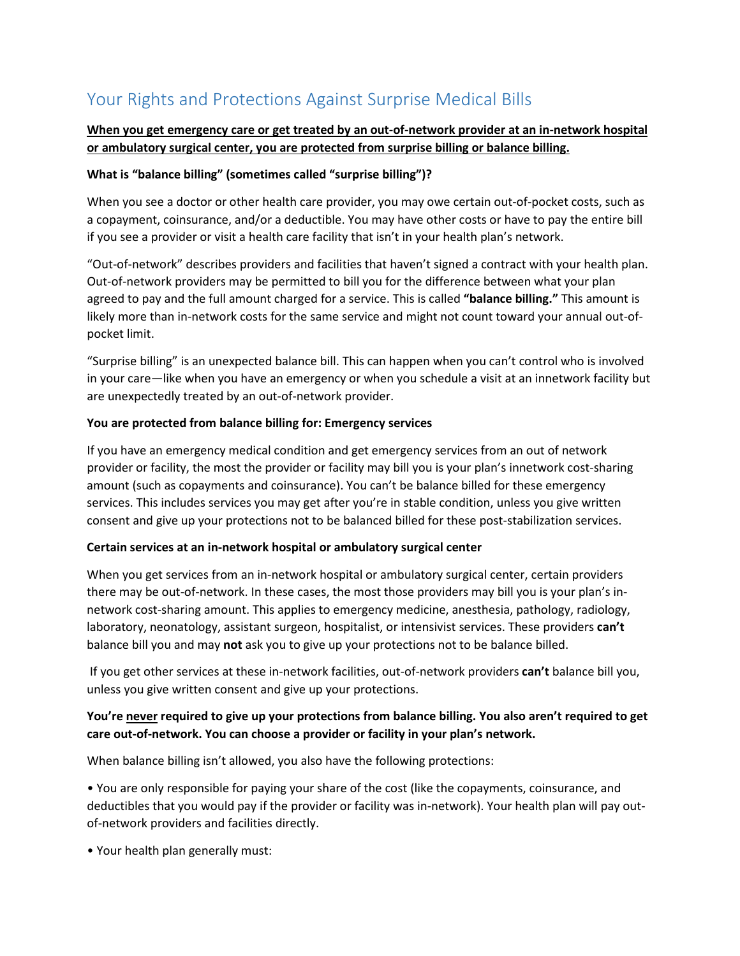# Your Rights and Protections Against Surprise Medical Bills

## **When you get emergency care or get treated by an out-of-network provider at an in-network hospital or ambulatory surgical center, you are protected from surprise billing or balance billing.**

#### **What is "balance billing" (sometimes called "surprise billing")?**

When you see a doctor or other health care provider, you may owe certain out-of-pocket costs, such as a copayment, coinsurance, and/or a deductible. You may have other costs or have to pay the entire bill if you see a provider or visit a health care facility that isn't in your health plan's network.

"Out-of-network" describes providers and facilities that haven't signed a contract with your health plan. Out-of-network providers may be permitted to bill you for the difference between what your plan agreed to pay and the full amount charged for a service. This is called **"balance billing."** This amount is likely more than in-network costs for the same service and might not count toward your annual out-ofpocket limit.

"Surprise billing" is an unexpected balance bill. This can happen when you can't control who is involved in your care—like when you have an emergency or when you schedule a visit at an innetwork facility but are unexpectedly treated by an out-of-network provider.

#### **You are protected from balance billing for: Emergency services**

If you have an emergency medical condition and get emergency services from an out of network provider or facility, the most the provider or facility may bill you is your plan's innetwork cost-sharing amount (such as copayments and coinsurance). You can't be balance billed for these emergency services. This includes services you may get after you're in stable condition, unless you give written consent and give up your protections not to be balanced billed for these post-stabilization services.

#### **Certain services at an in-network hospital or ambulatory surgical center**

When you get services from an in-network hospital or ambulatory surgical center, certain providers there may be out-of-network. In these cases, the most those providers may bill you is your plan's innetwork cost-sharing amount. This applies to emergency medicine, anesthesia, pathology, radiology, laboratory, neonatology, assistant surgeon, hospitalist, or intensivist services. These providers **can't**  balance bill you and may **not** ask you to give up your protections not to be balance billed.

If you get other services at these in-network facilities, out-of-network providers **can't** balance bill you, unless you give written consent and give up your protections.

### **You're never required to give up your protections from balance billing. You also aren't required to get care out-of-network. You can choose a provider or facility in your plan's network.**

When balance billing isn't allowed, you also have the following protections:

• You are only responsible for paying your share of the cost (like the copayments, coinsurance, and deductibles that you would pay if the provider or facility was in-network). Your health plan will pay outof-network providers and facilities directly.

• Your health plan generally must: